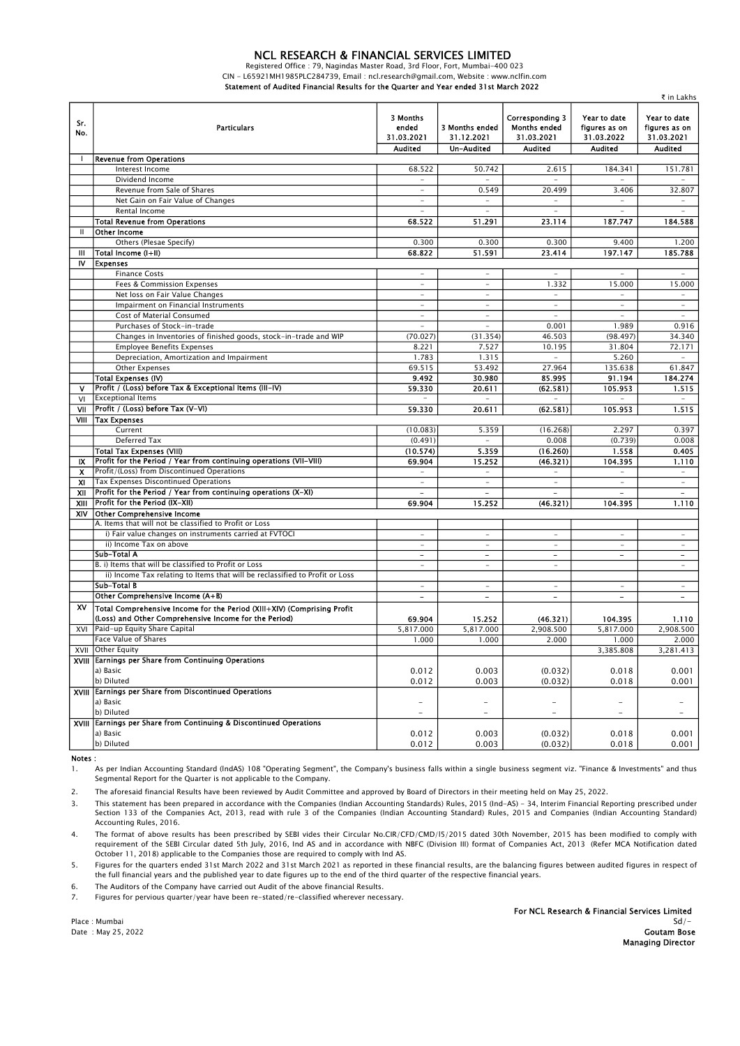## NCL RESEARCH & FINANCIAL SERVICES LIMITED

Registered Office : 79, Nagindas Master Road, 3rd Floor, Fort, Mumbai-400 023 CIN - L65921MH1985PLC284739, Email : ncl.research@gmail.com, Website : www.nclfin.com Statement of Audited Financial Results for the Quarter and Year ended 31st March 2022

|              |                                                                              |                                                   |                                                   |                                                                               |                                                               | ₹ in Lakhs                                                    |
|--------------|------------------------------------------------------------------------------|---------------------------------------------------|---------------------------------------------------|-------------------------------------------------------------------------------|---------------------------------------------------------------|---------------------------------------------------------------|
| Sr.<br>No.   | <b>Particulars</b>                                                           | 3 Months<br>ended<br>31.03.2021<br><b>Audited</b> | 3 Months ended<br>31.12.2021<br><b>Un-Audited</b> | <b>Corresponding 3</b><br><b>Months ended</b><br>31.03.2021<br><b>Audited</b> | Year to date<br>figures as on<br>31.03.2022<br><b>Audited</b> | Year to date<br>figures as on<br>31.03.2021<br><b>Audited</b> |
|              |                                                                              |                                                   |                                                   |                                                                               |                                                               |                                                               |
| ı            | <b>Revenue from Operations</b>                                               | 68.522                                            | 50.742                                            |                                                                               |                                                               |                                                               |
|              | Interest Income<br>Dividend Income                                           | $\overline{\phantom{a}}$                          | L.                                                | 2.615                                                                         | 184.341                                                       | 151.781                                                       |
|              |                                                                              | $\overline{a}$                                    |                                                   |                                                                               |                                                               |                                                               |
|              | Revenue from Sale of Shares                                                  | $\sim$                                            | 0.549<br>$\overline{a}$                           | 20.499<br>÷.                                                                  | 3.406<br>$\overline{a}$                                       | 32.807                                                        |
|              | Net Gain on Fair Value of Changes                                            |                                                   |                                                   |                                                                               |                                                               |                                                               |
|              | Rental Income                                                                | $\sim$                                            | $\overline{\phantom{a}}$                          | $\sim$                                                                        | $\overline{\phantom{a}}$                                      | $\overline{\phantom{a}}$                                      |
|              | <b>Total Revenue from Operations</b>                                         | 68.522                                            | 51.291                                            | 23.114                                                                        | 187.747                                                       | 184.588                                                       |
| $\mathbf{H}$ | <b>Other Income</b>                                                          |                                                   |                                                   |                                                                               |                                                               |                                                               |
|              | Others (Plesae Specify)                                                      | 0.300                                             | 0.300                                             | 0.300                                                                         | 9.400                                                         | 1.200                                                         |
| Ш            | Total Income (I+II)                                                          | 68.822                                            | 51.591                                            | 23.414                                                                        | 197.147                                                       | 185.788                                                       |
| IV           | <b>Expenses</b>                                                              |                                                   |                                                   |                                                                               |                                                               |                                                               |
|              | <b>Finance Costs</b>                                                         | $\sim$                                            | $\overline{\phantom{a}}$                          | $\sim$                                                                        | $\equiv$                                                      |                                                               |
|              | Fees & Commission Expenses                                                   | $\overline{\phantom{a}}$                          | $\bar{\phantom{a}}$                               | 1.332                                                                         | 15.000                                                        | 15.000                                                        |
|              | Net loss on Fair Value Changes                                               | $\overline{a}$                                    | $\overline{a}$                                    | $\overline{\phantom{a}}$                                                      | $\overline{\phantom{a}}$                                      |                                                               |
|              | Impairment on Financial Instruments                                          | $\sim$                                            | $\overline{a}$                                    | $\sim$                                                                        | $\overline{a}$                                                | $\equiv$                                                      |
|              | Cost of Material Consumed                                                    | $\overline{\phantom{a}}$                          | $\equiv$                                          | $\sim$                                                                        | $\overline{\phantom{a}}$                                      | $\equiv$                                                      |
|              | Purchases of Stock-in-trade                                                  | $\overline{\phantom{a}}$                          | $\equiv$                                          | 0.001                                                                         | 1.989                                                         | 0.916                                                         |
|              | Changes in Inventories of finished goods, stock-in-trade and WIP             | (70.027)                                          | (31.354)                                          | 46.503                                                                        | (98.497)                                                      | 34.340                                                        |
|              | <b>Employee Benefits Expenses</b>                                            | 8.221                                             | 7.527                                             | 10.195                                                                        | 31.804                                                        | 72.171                                                        |
|              | Depreciation, Amortization and Impairment                                    | 1.783                                             | 1.315                                             | $\sim$                                                                        | 5.260                                                         |                                                               |
|              | Other Expenses                                                               | 69.515                                            | 53.492                                            | 27.964                                                                        | 135.638                                                       | 61.847                                                        |
|              | Total Expenses (IV)                                                          | 9.492                                             | 30.980                                            | 85.995                                                                        | 91.194                                                        | 184.274                                                       |
| $\mathbf{v}$ | Profit / (Loss) before Tax & Exceptional Items (III-IV)                      | 59.330                                            | 20.611                                            | (62.581)                                                                      | 105.953                                                       | 1.515                                                         |
| VI           | <b>Exceptional Items</b>                                                     |                                                   |                                                   |                                                                               |                                                               |                                                               |
| VII          | Profit / (Loss) before Tax (V-VI)                                            | 59.330                                            | 20.611                                            | (62.581)                                                                      | 105.953                                                       | 1.515                                                         |
| VIII         | <b>Tax Expenses</b>                                                          |                                                   |                                                   |                                                                               |                                                               |                                                               |
|              | Current                                                                      | (10.083)                                          | 5.359                                             | (16.268)                                                                      | 2.297                                                         | 0.397                                                         |
|              | Deferred Tax                                                                 | (0.491)                                           | $\equiv$                                          | 0.008                                                                         | (0.739)                                                       | 0.008                                                         |
|              | <b>Total Tax Expenses (VIII)</b>                                             | (10.574)                                          | 5359                                              | (16.260)                                                                      | 1.558                                                         | 0.405                                                         |
| IX           | Profit for the Period / Year from continuing operations (VII-VIII)           | 69.904                                            | 15.252                                            | (46.321)                                                                      | 104.395                                                       | 1.110                                                         |
| X            | Profit/(Loss) from Discontinued Operations                                   | $\bar{a}$                                         | $\equiv$                                          | $\sim$                                                                        | $\bar{\phantom{a}}$                                           | $\equiv$                                                      |
| XI           | Tax Expenses Discontinued Operations                                         | $\equiv$                                          | $\qquad \qquad -$                                 | $\overline{\phantom{a}}$                                                      | $\equiv$                                                      | $\sim$                                                        |
| XII          | Profit for the Period / Year from continuing operations (X-XI)               | $\overline{\phantom{0}}$                          | $\overline{a}$                                    | $\overline{\phantom{a}}$                                                      | $\overline{a}$                                                | $\overline{\phantom{a}}$                                      |
| XIII         | Profit for the Period (IX-XII)                                               | 69.904                                            | 15.252                                            | (46.321)                                                                      | 104.395                                                       | 1.110                                                         |
| XIV          | Other Comprehensive Income                                                   |                                                   |                                                   |                                                                               |                                                               |                                                               |
|              | A. Items that will not be classified to Profit or Loss                       |                                                   |                                                   |                                                                               |                                                               |                                                               |
|              | i) Fair value changes on instruments carried at FVTOCI                       | $\sim$                                            | $\overline{\phantom{a}}$                          | $\overline{\phantom{a}}$                                                      | $\equiv$                                                      | $\overline{\phantom{a}}$                                      |
|              | ii) Income Tax on above                                                      | $\overline{\phantom{a}}$                          | $\overline{\phantom{a}}$                          | $\overline{\phantom{a}}$                                                      | $\overline{\phantom{a}}$                                      | $\sim$                                                        |
|              | Sub-Total A                                                                  | $\overline{\phantom{0}}$                          | $\overline{\phantom{0}}$                          | $\overline{\phantom{a}}$                                                      | -                                                             | $\overline{\phantom{a}}$                                      |
|              | B. i) Items that will be classified to Profit or Loss                        | $\overline{\phantom{a}}$                          | $\bar{\phantom{a}}$                               | $\sim$                                                                        |                                                               | $\sim$                                                        |
|              | ii) Income Tax relating to Items that will be reclassified to Profit or Loss |                                                   |                                                   |                                                                               |                                                               |                                                               |
|              | Sub-Total B                                                                  | $\overline{\phantom{a}}$                          | $\qquad \qquad -$                                 | $\overline{\phantom{a}}$                                                      | $\qquad \qquad -$                                             | $\overline{\phantom{a}}$                                      |
|              | Other Comprehensive Income (A+B)                                             | $\qquad \qquad -$                                 | $\overline{\phantom{0}}$                          | $\overline{\phantom{a}}$                                                      | $\overline{\phantom{0}}$                                      | $\overline{\phantom{a}}$                                      |
| XV           | Total Comprehensive Income for the Period (XIII+XIV) (Comprising Profit      |                                                   |                                                   |                                                                               |                                                               |                                                               |
|              | (Loss) and Other Comprehensive Income for the Period)                        | 69.904                                            | 15.252                                            | (46.321)                                                                      | 104.395                                                       | 1.110                                                         |
| XVI          | Paid-up Equity Share Capital                                                 | 5,817.000                                         | 5,817.000                                         | 2,908.500                                                                     | 5,817.000                                                     | 2,908.500                                                     |
|              | <b>Face Value of Shares</b>                                                  | 1.000                                             | 1.000                                             | 2.000                                                                         | 1.000                                                         | 2.000                                                         |
|              | XVII Other Equity                                                            |                                                   |                                                   |                                                                               | 3,385.808                                                     | 3,281.413                                                     |
|              | XVIII Earnings per Share from Continuing Operations                          |                                                   |                                                   |                                                                               |                                                               |                                                               |
|              | a) Basic                                                                     | 0.012                                             | 0.003                                             | (0.032)                                                                       | 0.018                                                         | 0.001                                                         |
|              | b) Diluted                                                                   | 0.012                                             | 0.003                                             | (0.032)                                                                       | 0.018                                                         | 0.001                                                         |
|              | XVIII Earnings per Share from Discontinued Operations                        |                                                   |                                                   |                                                                               |                                                               |                                                               |
|              | a) Basic                                                                     | $\overline{\phantom{a}}$                          | $\overline{\phantom{a}}$                          | -                                                                             | $\overline{\phantom{a}}$                                      | $\overline{\phantom{a}}$                                      |
|              | b) Diluted                                                                   | $\overline{\phantom{0}}$                          | $\overline{\phantom{a}}$                          | -                                                                             | $\qquad \qquad -$                                             | $\overline{\phantom{a}}$                                      |
| XVIII        | Earnings per Share from Continuing & Discontinued Operations                 |                                                   |                                                   |                                                                               |                                                               |                                                               |
|              | a) Basic                                                                     | 0.012                                             | 0.003                                             | (0.032)                                                                       | 0.018                                                         | 0.001                                                         |
|              | b) Diluted                                                                   | 0.012                                             | 0.003                                             | (0.032)                                                                       | 0.018                                                         | 0.001                                                         |

Notes :

1. As per Indian Accounting Standard (lndAS) 108 "Operating Segment", the Company's business falls within a single business segment viz. "Finance & Investments" and thus Segmental Report for the Quarter is not applicable to the Company.

2. The aforesaid financial Results have been reviewed by Audit Committee and approved by Board of Directors in their meeting held on May 25, 2022.

3. This statement has been prepared in accordance with the Companies (Indian Accounting Standards) Rules, 2015 (Ind-AS) - 34, Interim Financial Reporting prescribed under Section 133 of the Companies Act, 2013, read with rule 3 of the Companies (Indian Accounting Standard) Rules, 2015 and Companies (Indian Accounting Standard) Accounting Rules, 2016.

4. The format of above results has been prescribed by SEBI vides their Circular No.CIR/CFD/CMD/l5/2015 dated 30th November, 2015 has been modified to comply with requirement of the SEBI Circular dated 5th July, 2016, Ind AS and in accordance with NBFC (Division III) format of Companies Act, 2013 (Refer MCA Notification dated October 11, 2018) applicable to the Companies those are required to comply with Ind AS.

5. Figures for the quarters ended 31st March 2022 and 31st March 2021 as reported in these financial results, are the balancing figures between audited figures in respect of the full financial years and the published year to date figures up to the end of the third quarter of the respective financial years.

6. The Auditors of the Company have carried out Audit of the above financial Results.

7. Figures for pervious quarter/year have been re-stated/re-classified wherever necessary.

Place : Mumbai Sd/- Date : May 25, 2022 **Goutam Bose** For NCL Research & Financial Services Limited<br> $Sd/-$ 

Managing Director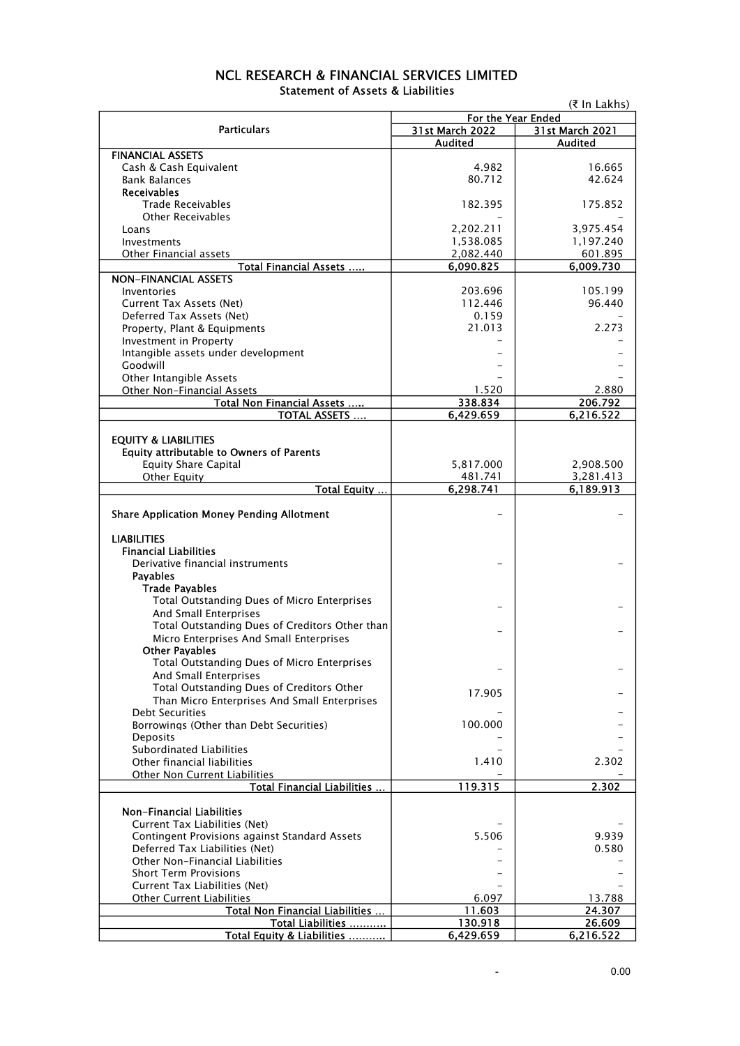## NCL RESEARCH & FINANCIAL SERVICES LIMITED Statement of Assets & Liabilities

|                                                                     |                        | (₹ In Lakhs)    |  |
|---------------------------------------------------------------------|------------------------|-----------------|--|
|                                                                     | For the Year Ended     |                 |  |
| <b>Particulars</b>                                                  | <b>31st March 2022</b> | 31st March 2021 |  |
|                                                                     | <b>Audited</b>         | <b>Audited</b>  |  |
| <b>FINANCIAL ASSETS</b>                                             | 4.982                  | 16.665          |  |
| Cash & Cash Equivalent<br><b>Bank Balances</b>                      | 80.712                 | 42.624          |  |
| <b>Receivables</b>                                                  |                        |                 |  |
| <b>Trade Receivables</b>                                            | 182.395                | 175.852         |  |
| <b>Other Receivables</b>                                            |                        |                 |  |
| Loans                                                               | 2,202.211              | 3,975.454       |  |
| Investments                                                         | 1,538.085              | 1,197.240       |  |
| Other Financial assets                                              | 2,082.440              | 601.895         |  |
| Total Financial Assets                                              | 6,090.825              | 6,009.730       |  |
| <b>NON-FINANCIAL ASSETS</b>                                         |                        |                 |  |
| Inventories                                                         | 203.696                | 105.199         |  |
| Current Tax Assets (Net)                                            | 112.446                | 96.440          |  |
| Deferred Tax Assets (Net)                                           | 0.159                  |                 |  |
| Property, Plant & Equipments                                        | 21.013                 | 2.273           |  |
| Investment in Property<br>Intangible assets under development       |                        |                 |  |
| Goodwill                                                            |                        |                 |  |
| Other Intangible Assets                                             |                        |                 |  |
| Other Non-Financial Assets                                          | 1.520                  | 2.880           |  |
| Total Non Financial Assets                                          | 338.834                | 206.792         |  |
| <b>TOTAL ASSETS </b>                                                | 6,429.659              | 6,216.522       |  |
|                                                                     |                        |                 |  |
| <b>EQUITY &amp; LIABILITIES</b>                                     |                        |                 |  |
| <b>Equity attributable to Owners of Parents</b>                     |                        |                 |  |
| <b>Equity Share Capital</b>                                         | 5,817.000              | 2,908.500       |  |
| Other Equity                                                        | 481.741                | 3,281.413       |  |
| Total Equity                                                        | 6,298.741              | 6,189.913       |  |
| <b>Share Application Money Pending Allotment</b>                    |                        |                 |  |
|                                                                     |                        |                 |  |
| <b>LIABILITIES</b>                                                  |                        |                 |  |
| <b>Financial Liabilities</b>                                        |                        |                 |  |
| Derivative financial instruments<br><b>Pavables</b>                 |                        |                 |  |
| <b>Trade Payables</b>                                               |                        |                 |  |
| <b>Total Outstanding Dues of Micro Enterprises</b>                  |                        |                 |  |
| <b>And Small Enterprises</b>                                        |                        |                 |  |
| Total Outstanding Dues of Creditors Other than                      |                        |                 |  |
| Micro Enterprises And Small Enterprises                             |                        |                 |  |
| Other Payables                                                      |                        |                 |  |
| <b>Total Outstanding Dues of Micro Enterprises</b>                  |                        |                 |  |
| And Small Enterprises                                               |                        |                 |  |
| Total Outstanding Dues of Creditors Other                           | 17.905                 |                 |  |
| Than Micro Enterprises And Small Enterprises                        |                        |                 |  |
| Debt Securities                                                     |                        |                 |  |
| Borrowings (Other than Debt Securities)                             | 100.000                |                 |  |
| Deposits                                                            |                        |                 |  |
| Subordinated Liabilities                                            |                        |                 |  |
| Other financial liabilities                                         | 1.410                  | 2.302           |  |
| Other Non Current Liabilities<br><b>Total Financial Liabilities</b> | 119.315                | 2.302           |  |
|                                                                     |                        |                 |  |
| <b>Non-Financial Liabilities</b>                                    |                        |                 |  |
| Current Tax Liabilities (Net)                                       |                        |                 |  |
| Contingent Provisions against Standard Assets                       | 5.506                  | 9.939           |  |
| Deferred Tax Liabilities (Net)                                      |                        | 0.580           |  |
| Other Non-Financial Liabilities                                     |                        |                 |  |
| <b>Short Term Provisions</b>                                        |                        |                 |  |
| Current Tax Liabilities (Net)                                       |                        |                 |  |
| <b>Other Current Liabilities</b>                                    | 6.097                  | 13.788          |  |
| Total Non Financial Liabilities                                     | 11.603                 | 24.307          |  |
| Total Liabilities                                                   | 130.918                | 26.609          |  |
| Total Equity & Liabilities                                          | 6,429.659              | 6,216.522       |  |

 $-$  0.00